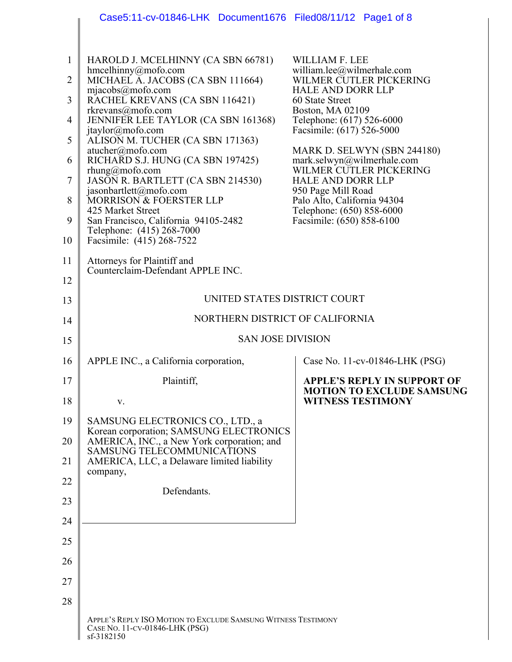|                | Case5:11-cv-01846-LHK Document1676 Filed08/11/12 Page1 of 8                                                            |                                                                                      |
|----------------|------------------------------------------------------------------------------------------------------------------------|--------------------------------------------------------------------------------------|
|                |                                                                                                                        |                                                                                      |
| 1              | HAROLD J. MCELHINNY (CA SBN 66781)                                                                                     | <b>WILLIAM F. LEE</b>                                                                |
| $\overline{2}$ | hmcelhinny@mofo.com<br>MICHAEL A. JACOBS (CA SBN 111664)                                                               | william.lee@wilmerhale.com<br>WILMER CUTLER PICKERING                                |
| 3              | mjacobs@mofo.com<br>RACHEL KREVANS (CA SBN 116421)                                                                     | <b>HALE AND DORR LLP</b><br>60 State Street                                          |
| 4              | rkrevans@mofo.com<br>JENNIFER LEE TAYLOR (CA SBN 161368)                                                               | Boston, MA 02109<br>Telephone: (617) 526-6000                                        |
| 5              | jtaylor@mofo.com<br>ALISOÑ M. TUCHER (CA SBN 171363)                                                                   | Facsimile: (617) 526-5000                                                            |
| 6              | atucher@mofo.com<br>RICHARD S.J. HUNG (CA SBN 197425)                                                                  | MARK D. SELWYN (SBN 244180)<br>mark.selwyn@wilmerhale.com<br>WILMER CUTLER PICKERING |
| 7              | $r$ hung@mofo.com<br>JASON R. BARTLETT (CA SBN 214530)                                                                 | <b>HALE AND DORR LLP</b><br>950 Page Mill Road                                       |
| 8              | jasonbartlett@mofo.com<br>MORRISON & FOERSTER LLP<br>425 Market Street                                                 | Palo Alto, California 94304<br>Telephone: (650) 858-6000                             |
| 9              | San Francisco, California 94105-2482<br>Telephone: (415) 268-7000                                                      | Facsimile: (650) 858-6100                                                            |
| 10             | Facsimile: (415) 268-7522                                                                                              |                                                                                      |
| 11             | Attorneys for Plaintiff and<br>Counterclaim-Defendant APPLE INC.                                                       |                                                                                      |
| 12             |                                                                                                                        |                                                                                      |
| 13             | UNITED STATES DISTRICT COURT                                                                                           |                                                                                      |
| 14             | NORTHERN DISTRICT OF CALIFORNIA                                                                                        |                                                                                      |
| 15             | <b>SAN JOSE DIVISION</b>                                                                                               |                                                                                      |
| 16             | APPLE INC., a California corporation,                                                                                  | Case No. 11-cv-01846-LHK (PSG)                                                       |
| 17             | Plaintiff,                                                                                                             | <b>APPLE'S REPLY IN SUPPORT OF</b><br><b>MOTION TO EXCLUDE SAMSUNG</b>               |
| 18             | V.                                                                                                                     | <b>WITNESS TESTIMONY</b>                                                             |
| 19             | SAMSUNG ELECTRONICS CO., LTD., a<br>Korean corporation; SAMSUNG ELECTRONICS                                            |                                                                                      |
| 20<br>21       | AMERICA, INC., a New York corporation; and<br>SAMSUNG TELECOMMUNICATIONS<br>AMERICA, LLC, a Delaware limited liability |                                                                                      |
| 22             | company,                                                                                                               |                                                                                      |
| 23             | Defendants.                                                                                                            |                                                                                      |
| 24             |                                                                                                                        |                                                                                      |
| 25             |                                                                                                                        |                                                                                      |
| 26             |                                                                                                                        |                                                                                      |
|                |                                                                                                                        |                                                                                      |
| 27             |                                                                                                                        |                                                                                      |
| 28             |                                                                                                                        |                                                                                      |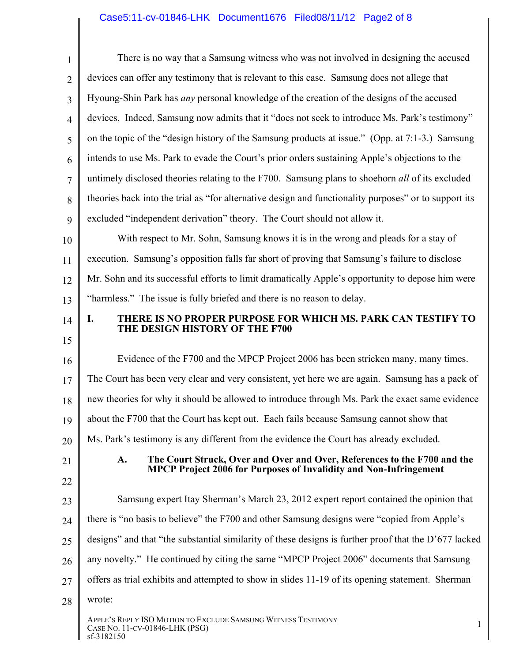# Case5:11-cv-01846-LHK Document1676 Filed08/11/12 Page2 of 8

| $\mathbf{1}$   | There is no way that a Samsung witness who was not involved in designing the accused                                                                       |
|----------------|------------------------------------------------------------------------------------------------------------------------------------------------------------|
| $\overline{2}$ | devices can offer any testimony that is relevant to this case. Samsung does not allege that                                                                |
| 3              | Hyoung-Shin Park has <i>any</i> personal knowledge of the creation of the designs of the accused                                                           |
| $\overline{4}$ | devices. Indeed, Samsung now admits that it "does not seek to introduce Ms. Park's testimony"                                                              |
| 5              | on the topic of the "design history of the Samsung products at issue." (Opp. at 7:1-3.) Samsung                                                            |
| 6              | intends to use Ms. Park to evade the Court's prior orders sustaining Apple's objections to the                                                             |
| 7              | untimely disclosed theories relating to the F700. Samsung plans to shoehorn all of its excluded                                                            |
| 8              | theories back into the trial as "for alternative design and functionality purposes" or to support its                                                      |
| 9              | excluded "independent derivation" theory. The Court should not allow it.                                                                                   |
| 10             | With respect to Mr. Sohn, Samsung knows it is in the wrong and pleads for a stay of                                                                        |
| 11             | execution. Samsung's opposition falls far short of proving that Samsung's failure to disclose                                                              |
| 12             | Mr. Sohn and its successful efforts to limit dramatically Apple's opportunity to depose him were                                                           |
| 13             | "harmless." The issue is fully briefed and there is no reason to delay.                                                                                    |
| 14             | THERE IS NO PROPER PURPOSE FOR WHICH MS. PARK CAN TESTIFY TO<br>I.<br>THE DESIGN HISTORY OF THE F700                                                       |
| 15             |                                                                                                                                                            |
| 16             | Evidence of the F700 and the MPCP Project 2006 has been stricken many, many times.                                                                         |
| 17             | The Court has been very clear and very consistent, yet here we are again. Samsung has a pack of                                                            |
| 18             | new theories for why it should be allowed to introduce through Ms. Park the exact same evidence                                                            |
| 19             | about the F700 that the Court has kept out. Each fails because Samsung cannot show that                                                                    |
| 20             | Ms. Park's testimony is any different from the evidence the Court has already excluded.                                                                    |
| 21             | A.<br>The Court Struck, Over and Over and Over, References to the F700 and the<br><b>MPCP Project 2006 for Purposes of Invalidity and Non-Infringement</b> |
| 22             |                                                                                                                                                            |
| 23             | Samsung expert Itay Sherman's March 23, 2012 expert report contained the opinion that                                                                      |
| 24             | there is "no basis to believe" the F700 and other Samsung designs were "copied from Apple's                                                                |
| 25             | designs" and that "the substantial similarity of these designs is further proof that the D'677 lacked                                                      |
| 26             | any novelty." He continued by citing the same "MPCP Project 2006" documents that Samsung                                                                   |
| 27             | offers as trial exhibits and attempted to show in slides 11-19 of its opening statement. Sherman                                                           |
| 28             | wrote:                                                                                                                                                     |
|                | APPLE'S REPLY ISO MOTION TO EXCLUDE SAMSUNG WITNESS TESTIMONY<br>$\mathbf{1}$<br>CASE NO. 11-CV-01846-LHK (PSG)<br>sf-3182150                              |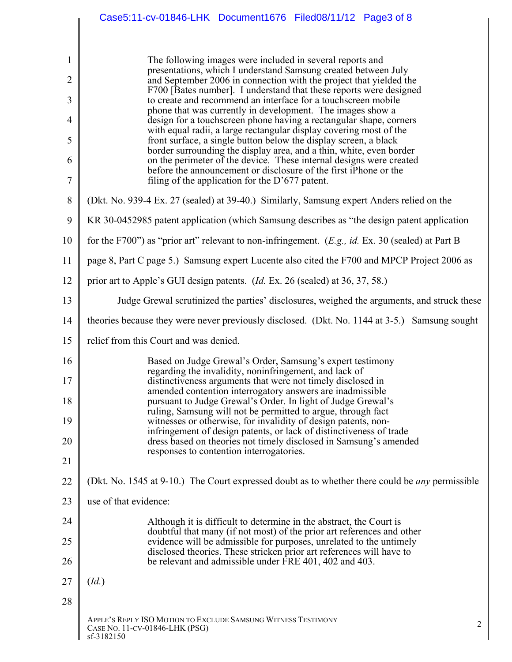|                | Case5:11-cv-01846-LHK Document1676 Filed08/11/12 Page3 of 8                                                                                   |
|----------------|-----------------------------------------------------------------------------------------------------------------------------------------------|
|                |                                                                                                                                               |
| 1              | The following images were included in several reports and<br>presentations, which I understand Samsung created between July                   |
| $\overline{2}$ | and September 2006 in connection with the project that yielded the<br>F700 [Bates number]. I understand that these reports were designed      |
| 3              | to create and recommend an interface for a touchscreen mobile<br>phone that was currently in development. The images show a                   |
| 4              | design for a touchscreen phone having a rectangular shape, corners<br>with equal radii, a large rectangular display covering most of the      |
| 5              | front surface, a single button below the display screen, a black<br>border surrounding the display area, and a thin, white, even border       |
| 6              | on the perimeter of the device. These internal designs were created<br>before the announcement or disclosure of the first iPhone or the       |
| $\overline{7}$ | filing of the application for the $D'677$ patent.                                                                                             |
| $8\,$          | (Dkt. No. 939-4 Ex. 27 (sealed) at 39-40.) Similarly, Samsung expert Anders relied on the                                                     |
| 9              | KR 30-0452985 patent application (which Samsung describes as "the design patent application                                                   |
| 10             | for the F700") as "prior art" relevant to non-infringement. ( <i>E.g., id. Ex.</i> 30 (sealed) at Part B                                      |
| 11             | page 8, Part C page 5.) Samsung expert Lucente also cited the F700 and MPCP Project 2006 as                                                   |
| 12             | prior art to Apple's GUI design patents. ( <i>Id.</i> Ex. 26 (sealed) at 36, 37, 58.)                                                         |
| 13             | Judge Grewal scrutinized the parties' disclosures, weighed the arguments, and struck these                                                    |
| 14             | theories because they were never previously disclosed. (Dkt. No. 1144 at 3-5.) Samsung sought                                                 |
| 15             | relief from this Court and was denied.                                                                                                        |
| 16             | Based on Judge Grewal's Order, Samsung's expert testimony<br>regarding the invalidity, noninfringement, and lack of                           |
| 17             | distinctiveness arguments that were not timely disclosed in                                                                                   |
| 18             | amended contention interrogatory answers are inadmissible.<br>pursuant to Judge Grewal's Order. In light of Judge Grewal's                    |
| 19             | ruling, Samsung will not be permitted to argue, through fact<br>witnesses or otherwise, for invalidity of design patents, non-                |
| 20             | infringement of design patents, or lack of distinctiveness of trade<br>dress based on theories not timely disclosed in Samsung's amended      |
| 21             | responses to contention interrogatories.                                                                                                      |
| 22             | (Dkt. No. 1545 at 9-10.) The Court expressed doubt as to whether there could be <i>any</i> permissible                                        |
| 23             | use of that evidence:                                                                                                                         |
| 24             | Although it is difficult to determine in the abstract, the Court is                                                                           |
| 25             | doubtful that many (if not most) of the prior art references and other<br>evidence will be admissible for purposes, unrelated to the untimely |
| 26             | disclosed theories. These stricken prior art references will have to<br>be relevant and admissible under FRE 401, 402 and 403.                |
| 27             | (Id.)                                                                                                                                         |
| 28             |                                                                                                                                               |
|                | APPLE'S REPLY ISO MOTION TO EXCLUDE SAMSUNG WITNESS TESTIMONY<br>2<br>CASE NO. 11-CV-01846-LHK (PSG)<br>sf-3182150                            |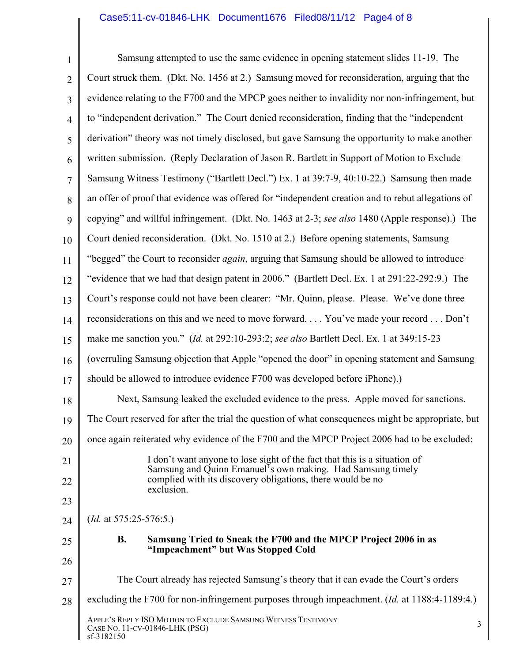# Case5:11-cv-01846-LHK Document1676 Filed08/11/12 Page4 of 8

| $\mathbf{1}$   | Samsung attempted to use the same evidence in opening statement slides 11-19. The                                        |
|----------------|--------------------------------------------------------------------------------------------------------------------------|
| $\overline{2}$ | Court struck them. (Dkt. No. 1456 at 2.) Samsung moved for reconsideration, arguing that the                             |
| $\overline{3}$ | evidence relating to the F700 and the MPCP goes neither to invalidity nor non-infringement, but                          |
| $\overline{4}$ | to "independent derivation." The Court denied reconsideration, finding that the "independent"                            |
| 5              | derivation" theory was not timely disclosed, but gave Samsung the opportunity to make another                            |
| 6              | written submission. (Reply Declaration of Jason R. Bartlett in Support of Motion to Exclude                              |
| $\overline{7}$ | Samsung Witness Testimony ("Bartlett Decl.") Ex. 1 at 39:7-9, 40:10-22.) Samsung then made                               |
| 8              | an offer of proof that evidence was offered for "independent creation and to rebut allegations of                        |
| 9              | copying" and willful infringement. (Dkt. No. 1463 at 2-3; see also 1480 (Apple response).) The                           |
| 10             | Court denied reconsideration. (Dkt. No. 1510 at 2.) Before opening statements, Samsung                                   |
| 11             | "begged" the Court to reconsider <i>again</i> , arguing that Samsung should be allowed to introduce                      |
| 12             | "evidence that we had that design patent in 2006." (Bartlett Decl. Ex. 1 at 291:22-292:9.) The                           |
| 13             | Court's response could not have been clearer: "Mr. Quinn, please. Please. We've done three                               |
| 14             | reconsiderations on this and we need to move forward You've made your record Don't                                       |
| 15             | make me sanction you." (Id. at 292:10-293:2; see also Bartlett Decl. Ex. 1 at 349:15-23                                  |
| 16             | (overruling Samsung objection that Apple "opened the door" in opening statement and Samsung                              |
| 17             | should be allowed to introduce evidence F700 was developed before iPhone).)                                              |
| 18             | Next, Samsung leaked the excluded evidence to the press. Apple moved for sanctions.                                      |
| 19             | The Court reserved for after the trial the question of what consequences might be appropriate, but                       |
| 20             | once again reiterated why evidence of the F700 and the MPCP Project 2006 had to be excluded:                             |
| 21             | I don't want anyone to lose sight of the fact that this is a situation of                                                |
| 22             | Samsung and Quinn Emanuel's own making. Had Samsung timely<br>complied with its discovery obligations, there would be no |
| 23             | exclusion.                                                                                                               |
| 24             | ( <i>Id.</i> at $575:25-576:5$ .)                                                                                        |
| 25             | <b>B.</b><br>Samsung Tried to Sneak the F700 and the MPCP Project 2006 in as                                             |
| 26             | "Impeachment" but Was Stopped Cold                                                                                       |
| 27             | The Court already has rejected Samsung's theory that it can evade the Court's orders                                     |
| 28             | excluding the F700 for non-infringement purposes through impeachment. ( <i>Id.</i> at 1188:4-1189:4.)                    |
|                | APPLE'S REPLY ISO MOTION TO EXCLUDE SAMSUNG WITNESS TESTIMONY<br>3<br>CASE NO. 11-CV-01846-LHK (PSG)<br>sf-3182150       |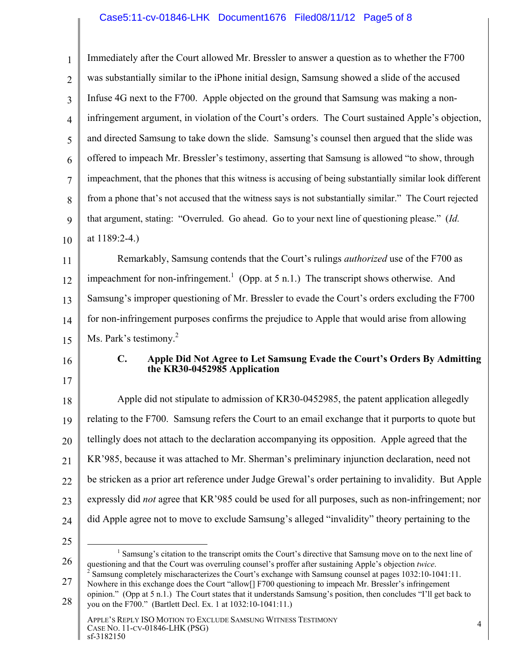## Case5:11-cv-01846-LHK Document1676 Filed08/11/12 Page5 of 8

| $\mathbf{1}$   | Immediately after the Court allowed Mr. Bressler to answer a question as to whether the F700                                                                                                                                                                                                                                                                                                                                                                            |
|----------------|-------------------------------------------------------------------------------------------------------------------------------------------------------------------------------------------------------------------------------------------------------------------------------------------------------------------------------------------------------------------------------------------------------------------------------------------------------------------------|
| $\overline{2}$ | was substantially similar to the iPhone initial design, Samsung showed a slide of the accused                                                                                                                                                                                                                                                                                                                                                                           |
| 3              | Infuse 4G next to the F700. Apple objected on the ground that Samsung was making a non-                                                                                                                                                                                                                                                                                                                                                                                 |
| $\overline{4}$ | infringement argument, in violation of the Court's orders. The Court sustained Apple's objection,                                                                                                                                                                                                                                                                                                                                                                       |
| 5              | and directed Samsung to take down the slide. Samsung's counsel then argued that the slide was                                                                                                                                                                                                                                                                                                                                                                           |
| 6              | offered to impeach Mr. Bressler's testimony, asserting that Samsung is allowed "to show, through                                                                                                                                                                                                                                                                                                                                                                        |
| $\overline{7}$ | impeachment, that the phones that this witness is accusing of being substantially similar look different                                                                                                                                                                                                                                                                                                                                                                |
| 8              | from a phone that's not accused that the witness says is not substantially similar." The Court rejected                                                                                                                                                                                                                                                                                                                                                                 |
| 9              | that argument, stating: "Overruled. Go ahead. Go to your next line of questioning please." (Id.                                                                                                                                                                                                                                                                                                                                                                         |
| 10             | at 1189:2-4.)                                                                                                                                                                                                                                                                                                                                                                                                                                                           |
| 11             | Remarkably, Samsung contends that the Court's rulings <i>authorized</i> use of the F700 as                                                                                                                                                                                                                                                                                                                                                                              |
| 12             | impeachment for non-infringement. <sup>1</sup> (Opp. at $5$ n.1.) The transcript shows otherwise. And                                                                                                                                                                                                                                                                                                                                                                   |
| 13             | Samsung's improper questioning of Mr. Bressler to evade the Court's orders excluding the F700                                                                                                                                                                                                                                                                                                                                                                           |
| 14             | for non-infringement purposes confirms the prejudice to Apple that would arise from allowing                                                                                                                                                                                                                                                                                                                                                                            |
| 15             | Ms. Park's testimony. <sup>2</sup>                                                                                                                                                                                                                                                                                                                                                                                                                                      |
| 16<br>17       | Apple Did Not Agree to Let Samsung Evade the Court's Orders By Admitting<br>$\mathbf{C}$ .<br>the KR30-0452985 Application                                                                                                                                                                                                                                                                                                                                              |
| 18             | Apple did not stipulate to admission of KR30-0452985, the patent application allegedly                                                                                                                                                                                                                                                                                                                                                                                  |
| 19             | relating to the F700. Samsung refers the Court to an email exchange that it purports to quote but                                                                                                                                                                                                                                                                                                                                                                       |
| 20             | tellingly does not attach to the declaration accompanying its opposition. Apple agreed that the                                                                                                                                                                                                                                                                                                                                                                         |
| 21             | KR'985, because it was attached to Mr. Sherman's preliminary injunction declaration, need not                                                                                                                                                                                                                                                                                                                                                                           |
| 22             | be stricken as a prior art reference under Judge Grewal's order pertaining to invalidity. But Apple                                                                                                                                                                                                                                                                                                                                                                     |
| 23             | expressly did <i>not</i> agree that KR'985 could be used for all purposes, such as non-infringement; nor                                                                                                                                                                                                                                                                                                                                                                |
| 24             | did Apple agree not to move to exclude Samsung's alleged "invalidity" theory pertaining to the                                                                                                                                                                                                                                                                                                                                                                          |
| 25             |                                                                                                                                                                                                                                                                                                                                                                                                                                                                         |
| 26<br>27       | <sup>1</sup> Samsung's citation to the transcript omits the Court's directive that Samsung move on to the next line of<br>questioning and that the Court was overruling counsel's proffer after sustaining Apple's objection twice.<br>Samsung completely mischaracterizes the Court's exchange with Samsung counsel at pages 1032:10-1041:11.<br>Nowhere in this exchange does the Court "allow <sup>[1]</sup> F700 questioning to impeach Mr. Bressler's infringement |

<sup>28</sup>  Nowhere in this exchange does the Court "allow[] F700 questioning to impeach Mr. Bressler's infringement opinion." (Opp at 5 n.1.) The Court states that it understands Samsung's position, then concludes "I'll get back to you on the F700." (Bartlett Decl. Ex. 1 at 1032:10-1041:11.)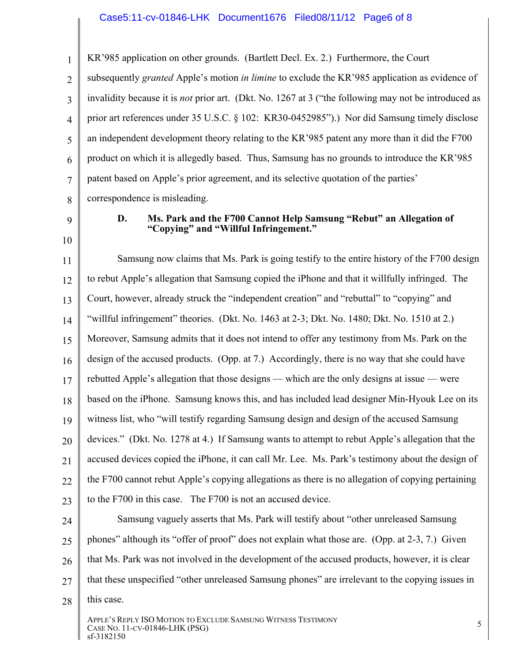#### Case5:11-cv-01846-LHK Document1676 Filed08/11/12 Page6 of 8

1 2 3 4 5 6 7 8 KR'985 application on other grounds. (Bartlett Decl. Ex. 2.) Furthermore, the Court subsequently *granted* Apple's motion *in limine* to exclude the KR'985 application as evidence of invalidity because it is *not* prior art. (Dkt. No. 1267 at 3 ("the following may not be introduced as prior art references under 35 U.S.C. § 102: KR30-0452985").) Nor did Samsung timely disclose an independent development theory relating to the KR'985 patent any more than it did the F700 product on which it is allegedly based. Thus, Samsung has no grounds to introduce the KR'985 patent based on Apple's prior agreement, and its selective quotation of the parties' correspondence is misleading.

- 9
- 10

#### **D. Ms. Park and the F700 Cannot Help Samsung "Rebut" an Allegation of "Copying" and "Willful Infringement."**

11 12 13 14 15 16 17 18 19 20 21 22 23 Samsung now claims that Ms. Park is going testify to the entire history of the F700 design to rebut Apple's allegation that Samsung copied the iPhone and that it willfully infringed. The Court, however, already struck the "independent creation" and "rebuttal" to "copying" and "willful infringement" theories. (Dkt. No. 1463 at 2-3; Dkt. No. 1480; Dkt. No. 1510 at 2.) Moreover, Samsung admits that it does not intend to offer any testimony from Ms. Park on the design of the accused products. (Opp. at 7.) Accordingly, there is no way that she could have rebutted Apple's allegation that those designs — which are the only designs at issue — were based on the iPhone. Samsung knows this, and has included lead designer Min-Hyouk Lee on its witness list, who "will testify regarding Samsung design and design of the accused Samsung devices." (Dkt. No. 1278 at 4.) If Samsung wants to attempt to rebut Apple's allegation that the accused devices copied the iPhone, it can call Mr. Lee. Ms. Park's testimony about the design of the F700 cannot rebut Apple's copying allegations as there is no allegation of copying pertaining to the F700 in this case. The F700 is not an accused device. Samsung vaguely asserts that Ms. Park will testify about "other unreleased Samsung

#### 24 25 26 27 28 phones" although its "offer of proof" does not explain what those are. (Opp. at 2-3, 7.) Given that Ms. Park was not involved in the development of the accused products, however, it is clear that these unspecified "other unreleased Samsung phones" are irrelevant to the copying issues in this case.

APPLE'S REPLY ISO MOTION TO EXCLUDE SAMSUNG WITNESS TESTIMONY STEED SINCE IS NOTHING TO EXCLUDE SAMSONG WITNESS TESTIMONT STEED AND TO SAME NO. 11-CV-01846-LHK (PSG) sf-3182150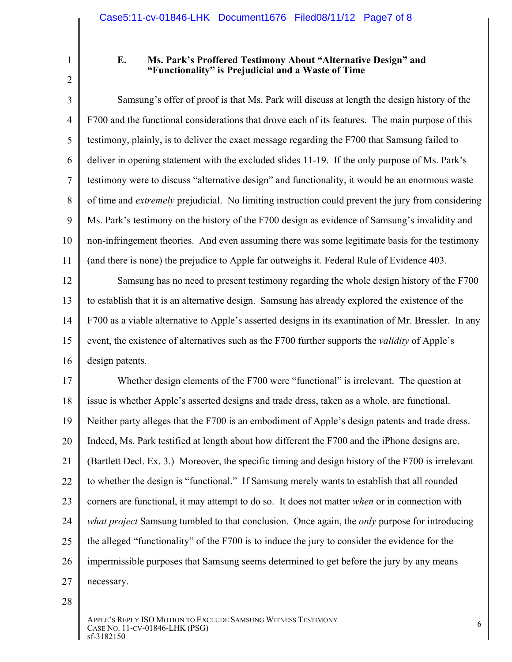2

1

## **E. Ms. Park's Proffered Testimony About "Alternative Design" and "Functionality" is Prejudicial and a Waste of Time**

3 4 5 6 7 8 9 10 11 Samsung's offer of proof is that Ms. Park will discuss at length the design history of the F700 and the functional considerations that drove each of its features. The main purpose of this testimony, plainly, is to deliver the exact message regarding the F700 that Samsung failed to deliver in opening statement with the excluded slides 11-19. If the only purpose of Ms. Park's testimony were to discuss "alternative design" and functionality, it would be an enormous waste of time and *extremely* prejudicial. No limiting instruction could prevent the jury from considering Ms. Park's testimony on the history of the F700 design as evidence of Samsung's invalidity and non-infringement theories. And even assuming there was some legitimate basis for the testimony (and there is none) the prejudice to Apple far outweighs it. Federal Rule of Evidence 403.

12 13 14 15 16 Samsung has no need to present testimony regarding the whole design history of the F700 to establish that it is an alternative design. Samsung has already explored the existence of the F700 as a viable alternative to Apple's asserted designs in its examination of Mr. Bressler. In any event, the existence of alternatives such as the F700 further supports the *validity* of Apple's design patents.

17 18 19 20 21 22 23 24 25 26 27 Whether design elements of the F700 were "functional" is irrelevant. The question at issue is whether Apple's asserted designs and trade dress, taken as a whole, are functional. Neither party alleges that the F700 is an embodiment of Apple's design patents and trade dress. Indeed, Ms. Park testified at length about how different the F700 and the iPhone designs are. (Bartlett Decl. Ex. 3.) Moreover, the specific timing and design history of the F700 is irrelevant to whether the design is "functional." If Samsung merely wants to establish that all rounded corners are functional, it may attempt to do so. It does not matter *when* or in connection with *what project* Samsung tumbled to that conclusion. Once again, the *only* purpose for introducing the alleged "functionality" of the F700 is to induce the jury to consider the evidence for the impermissible purposes that Samsung seems determined to get before the jury by any means necessary.

28